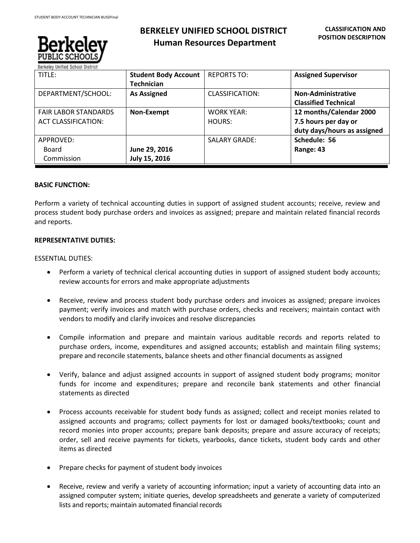

# **BERKELEY UNIFIED SCHOOL DISTRICT Human Resources Department**

| TITLE:                      | <b>Student Body Account</b> | <b>REPORTS TO:</b>   | <b>Assigned Supervisor</b>  |
|-----------------------------|-----------------------------|----------------------|-----------------------------|
|                             | <b>Technician</b>           |                      |                             |
| DEPARTMENT/SCHOOL:          | <b>As Assigned</b>          | CLASSIFICATION:      | <b>Non-Administrative</b>   |
|                             |                             |                      | <b>Classified Technical</b> |
| <b>FAIR LABOR STANDARDS</b> | Non-Exempt                  | <b>WORK YEAR:</b>    | 12 months/Calendar 2000     |
| <b>ACT CLASSIFICATION:</b>  |                             | HOURS:               | 7.5 hours per day or        |
|                             |                             |                      | duty days/hours as assigned |
| APPROVED:                   |                             | <b>SALARY GRADE:</b> | Schedule: 56                |
| Board                       | June 29, 2016               |                      | Range: 43                   |
| Commission                  | July 15, 2016               |                      |                             |

# **BASIC FUNCTION:**

Perform a variety of technical accounting duties in support of assigned student accounts; receive, review and process student body purchase orders and invoices as assigned; prepare and maintain related financial records and reports.

## **REPRESENTATIVE DUTIES:**

## ESSENTIAL DUTIES:

- Perform a variety of technical clerical accounting duties in support of assigned student body accounts; review accounts for errors and make appropriate adjustments
- Receive, review and process student body purchase orders and invoices as assigned; prepare invoices payment; verify invoices and match with purchase orders, checks and receivers; maintain contact with vendors to modify and clarify invoices and resolve discrepancies
- Compile information and prepare and maintain various auditable records and reports related to purchase orders, income, expenditures and assigned accounts; establish and maintain filing systems; prepare and reconcile statements, balance sheets and other financial documents as assigned
- Verify, balance and adjust assigned accounts in support of assigned student body programs; monitor funds for income and expenditures; prepare and reconcile bank statements and other financial statements as directed
- Process accounts receivable for student body funds as assigned; collect and receipt monies related to assigned accounts and programs; collect payments for lost or damaged books/textbooks; count and record monies into proper accounts; prepare bank deposits; prepare and assure accuracy of receipts; order, sell and receive payments for tickets, yearbooks, dance tickets, student body cards and other items as directed
- Prepare checks for payment of student body invoices
- Receive, review and verify a variety of accounting information; input a variety of accounting data into an assigned computer system; initiate queries, develop spreadsheets and generate a variety of computerized lists and reports; maintain automated financial records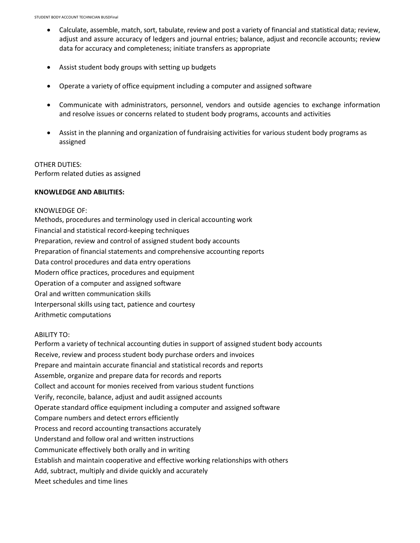- Calculate, assemble, match, sort, tabulate, review and post a variety of financial and statistical data; review, adjust and assure accuracy of ledgers and journal entries; balance, adjust and reconcile accounts; review data for accuracy and completeness; initiate transfers as appropriate
- Assist student body groups with setting up budgets
- Operate a variety of office equipment including a computer and assigned software
- Communicate with administrators, personnel, vendors and outside agencies to exchange information and resolve issues or concerns related to student body programs, accounts and activities
- Assist in the planning and organization of fundraising activities for various student body programs as assigned

#### OTHER DUTIES:

Perform related duties as assigned

#### **KNOWLEDGE AND ABILITIES:**

### KNOWLEDGE OF:

Methods, procedures and terminology used in clerical accounting work Financial and statistical record-keeping techniques Preparation, review and control of assigned student body accounts Preparation of financial statements and comprehensive accounting reports Data control procedures and data entry operations Modern office practices, procedures and equipment Operation of a computer and assigned software Oral and written communication skills Interpersonal skills using tact, patience and courtesy Arithmetic computations

#### ABILITY TO:

Perform a variety of technical accounting duties in support of assigned student body accounts Receive, review and process student body purchase orders and invoices Prepare and maintain accurate financial and statistical records and reports Assemble, organize and prepare data for records and reports Collect and account for monies received from various student functions Verify, reconcile, balance, adjust and audit assigned accounts Operate standard office equipment including a computer and assigned software Compare numbers and detect errors efficiently Process and record accounting transactions accurately Understand and follow oral and written instructions Communicate effectively both orally and in writing Establish and maintain cooperative and effective working relationships with others Add, subtract, multiply and divide quickly and accurately Meet schedules and time lines